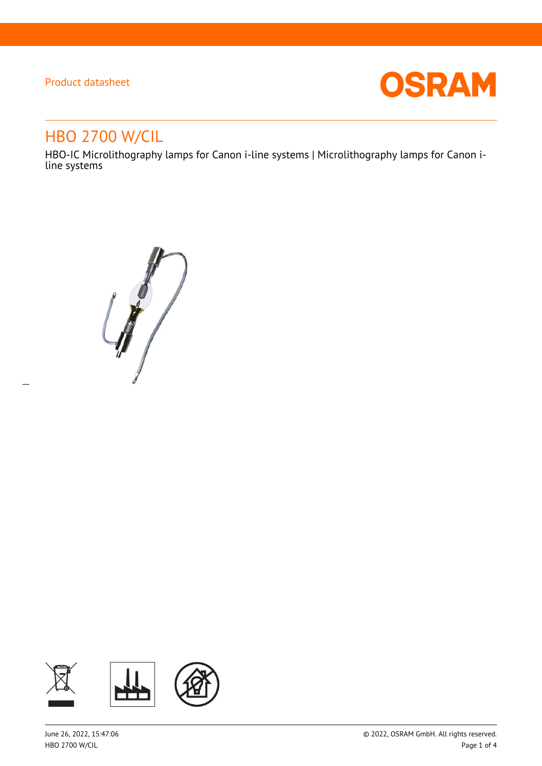$\overline{a}$ 



# HBO 2700 W/CIL

HBO-IC Microlithography lamps for Canon i-line systems | Microlithography lamps for Canon iline systems

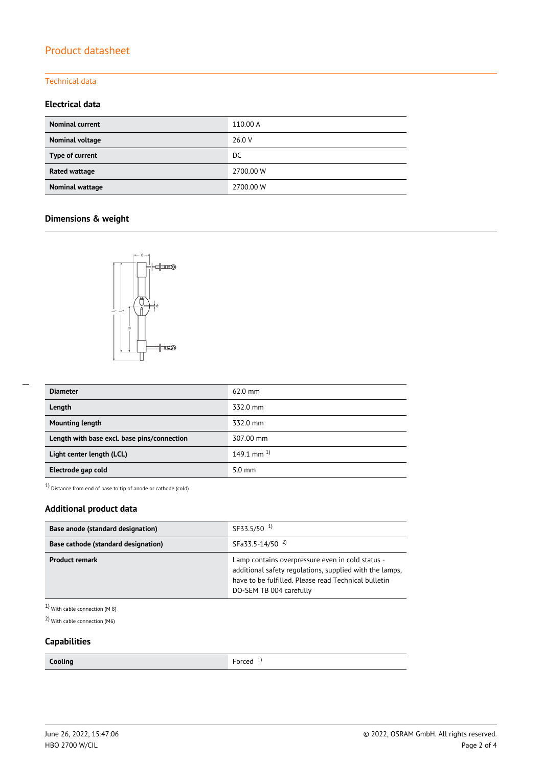### Technical data

### **Electrical data**

| <b>Nominal current</b> | 110.00 A  |
|------------------------|-----------|
| Nominal voltage        | 26.0 V    |
| Type of current        | DC        |
| <b>Rated wattage</b>   | 2700.00 W |
| Nominal wattage        | 2700.00 W |

## **Dimensions & weight**



| <b>Diameter</b>                             | $62.0$ mm         |
|---------------------------------------------|-------------------|
| Length                                      | 332.0 mm          |
| <b>Mounting length</b>                      | 332.0 mm          |
| Length with base excl. base pins/connection | 307.00 mm         |
| Light center length (LCL)                   | $149.1$ mm $^{1}$ |
| Electrode gap cold                          | $5.0 \text{ mm}$  |

1) Distance from end of base to tip of anode or cathode (cold)

## **Additional product data**

| Base anode (standard designation)   | SF33.5/50 <sup>1)</sup>                                                                                                                                                                        |  |  |
|-------------------------------------|------------------------------------------------------------------------------------------------------------------------------------------------------------------------------------------------|--|--|
| Base cathode (standard designation) | SFa33.5-14/50 <sup>2)</sup>                                                                                                                                                                    |  |  |
| <b>Product remark</b>               | Lamp contains overpressure even in cold status -<br>additional safety regulations, supplied with the lamps,<br>have to be fulfilled. Please read Technical bulletin<br>DO-SEM TB 004 carefully |  |  |

1) With cable connection (M 8)

2) With cable connection (M6)

### **Capabilities**

Forced<sup>1)</sup>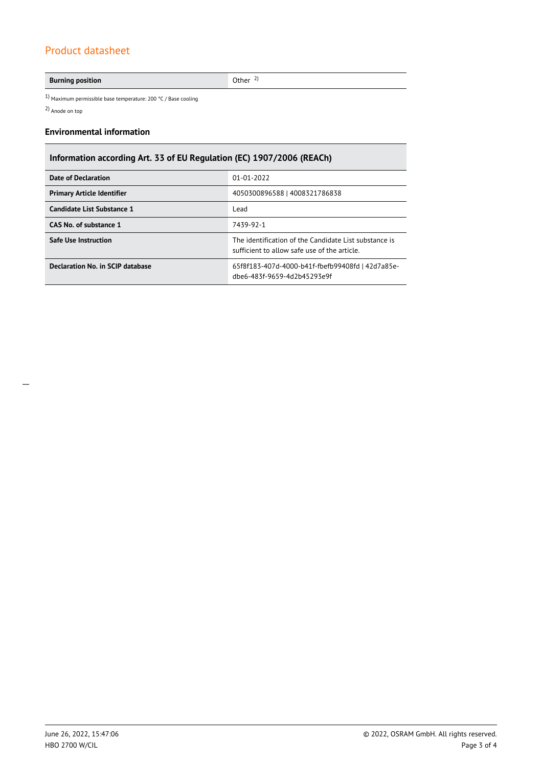### **Burning position** Other <sup>2)</sup>

1) Maximum permissible base temperature: 200 °C / Base cooling

2) Anode on top

### **Environmental information**

## **Information according Art. 33 of EU Regulation (EC) 1907/2006 (REACh)**

| Date of Declaration               | $01 - 01 - 2022$                                                                                      |  |  |
|-----------------------------------|-------------------------------------------------------------------------------------------------------|--|--|
| <b>Primary Article Identifier</b> | 4050300896588   4008321786838                                                                         |  |  |
| Candidate List Substance 1        | Lead                                                                                                  |  |  |
| CAS No. of substance 1            | 7439-92-1                                                                                             |  |  |
| <b>Safe Use Instruction</b>       | The identification of the Candidate List substance is<br>sufficient to allow safe use of the article. |  |  |
| Declaration No. in SCIP database  | 65f8f183-407d-4000-b41f-fbefb99408fd   42d7a85e-<br>dbe6-483f-9659-4d2b45293e9f                       |  |  |